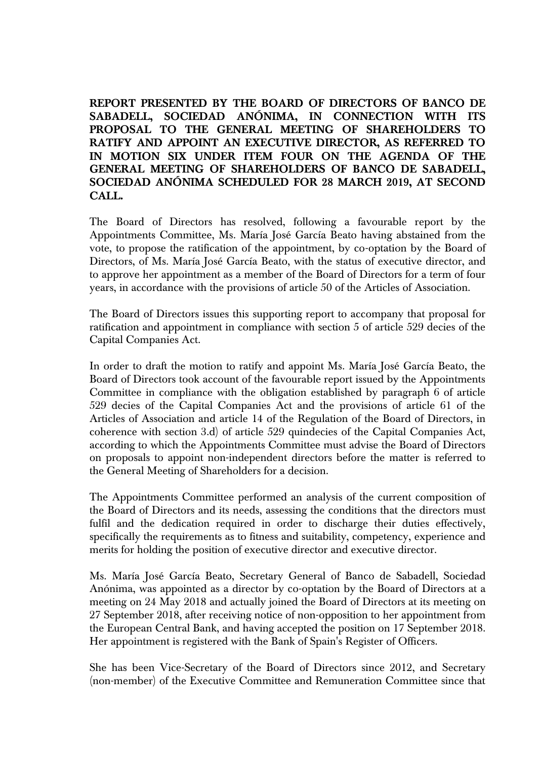**REPORT PRESENTED BY THE BOARD OF DIRECTORS OF BANCO DE SABADELL, SOCIEDAD ANÓNIMA, IN CONNECTION WITH ITS PROPOSAL TO THE GENERAL MEETING OF SHAREHOLDERS TO RATIFY AND APPOINT AN EXECUTIVE DIRECTOR, AS REFERRED TO IN MOTION SIX UNDER ITEM FOUR ON THE AGENDA OF THE GENERAL MEETING OF SHAREHOLDERS OF BANCO DE SABADELL, SOCIEDAD ANÓNIMA SCHEDULED FOR 28 MARCH 2019, AT SECOND CALL.**

The Board of Directors has resolved, following a favourable report by the Appointments Committee, Ms. María José García Beato having abstained from the vote, to propose the ratification of the appointment, by co-optation by the Board of Directors, of Ms. María José García Beato, with the status of executive director, and to approve her appointment as a member of the Board of Directors for a term of four years, in accordance with the provisions of article 50 of the Articles of Association.

The Board of Directors issues this supporting report to accompany that proposal for ratification and appointment in compliance with section 5 of article 529 decies of the Capital Companies Act.

In order to draft the motion to ratify and appoint Ms. María José García Beato, the Board of Directors took account of the favourable report issued by the Appointments Committee in compliance with the obligation established by paragraph 6 of article 529 decies of the Capital Companies Act and the provisions of article 61 of the Articles of Association and article 14 of the Regulation of the Board of Directors, in coherence with section 3.d) of article 529 quindecies of the Capital Companies Act, according to which the Appointments Committee must advise the Board of Directors on proposals to appoint non-independent directors before the matter is referred to the General Meeting of Shareholders for a decision.

The Appointments Committee performed an analysis of the current composition of the Board of Directors and its needs, assessing the conditions that the directors must fulfil and the dedication required in order to discharge their duties effectively, specifically the requirements as to fitness and suitability, competency, experience and merits for holding the position of executive director and executive director.

Ms. María José García Beato, Secretary General of Banco de Sabadell, Sociedad Anónima, was appointed as a director by co-optation by the Board of Directors at a meeting on 24 May 2018 and actually joined the Board of Directors at its meeting on 27 September 2018, after receiving notice of non-opposition to her appointment from the European Central Bank, and having accepted the position on 17 September 2018. Her appointment is registered with the Bank of Spain's Register of Officers.

She has been Vice-Secretary of the Board of Directors since 2012, and Secretary (non-member) of the Executive Committee and Remuneration Committee since that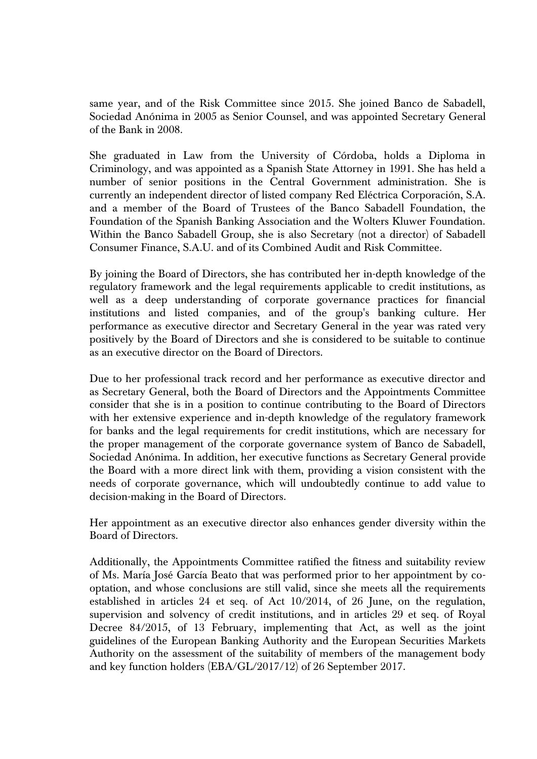same year, and of the Risk Committee since 2015. She joined Banco de Sabadell, Sociedad Anónima in 2005 as Senior Counsel, and was appointed Secretary General of the Bank in 2008.

She graduated in Law from the University of Córdoba, holds a Diploma in Criminology, and was appointed as a Spanish State Attorney in 1991. She has held a number of senior positions in the Central Government administration. She is currently an independent director of listed company Red Eléctrica Corporación, S.A. and a member of the Board of Trustees of the Banco Sabadell Foundation, the Foundation of the Spanish Banking Association and the Wolters Kluwer Foundation. Within the Banco Sabadell Group, she is also Secretary (not a director) of Sabadell Consumer Finance, S.A.U. and of its Combined Audit and Risk Committee.

By joining the Board of Directors, she has contributed her in-depth knowledge of the regulatory framework and the legal requirements applicable to credit institutions, as well as a deep understanding of corporate governance practices for financial institutions and listed companies, and of the group's banking culture. Her performance as executive director and Secretary General in the year was rated very positively by the Board of Directors and she is considered to be suitable to continue as an executive director on the Board of Directors.

Due to her professional track record and her performance as executive director and as Secretary General, both the Board of Directors and the Appointments Committee consider that she is in a position to continue contributing to the Board of Directors with her extensive experience and in-depth knowledge of the regulatory framework for banks and the legal requirements for credit institutions, which are necessary for the proper management of the corporate governance system of Banco de Sabadell, Sociedad Anónima. In addition, her executive functions as Secretary General provide the Board with a more direct link with them, providing a vision consistent with the needs of corporate governance, which will undoubtedly continue to add value to decision-making in the Board of Directors.

Her appointment as an executive director also enhances gender diversity within the Board of Directors.

Additionally, the Appointments Committee ratified the fitness and suitability review of Ms. María José García Beato that was performed prior to her appointment by cooptation, and whose conclusions are still valid, since she meets all the requirements established in articles 24 et seq. of Act 10/2014, of 26 June, on the regulation, supervision and solvency of credit institutions, and in articles 29 et seq. of Royal Decree 84/2015, of 13 February, implementing that Act, as well as the joint guidelines of the European Banking Authority and the European Securities Markets Authority on the assessment of the suitability of members of the management body and key function holders (EBA/GL/2017/12) of 26 September 2017.